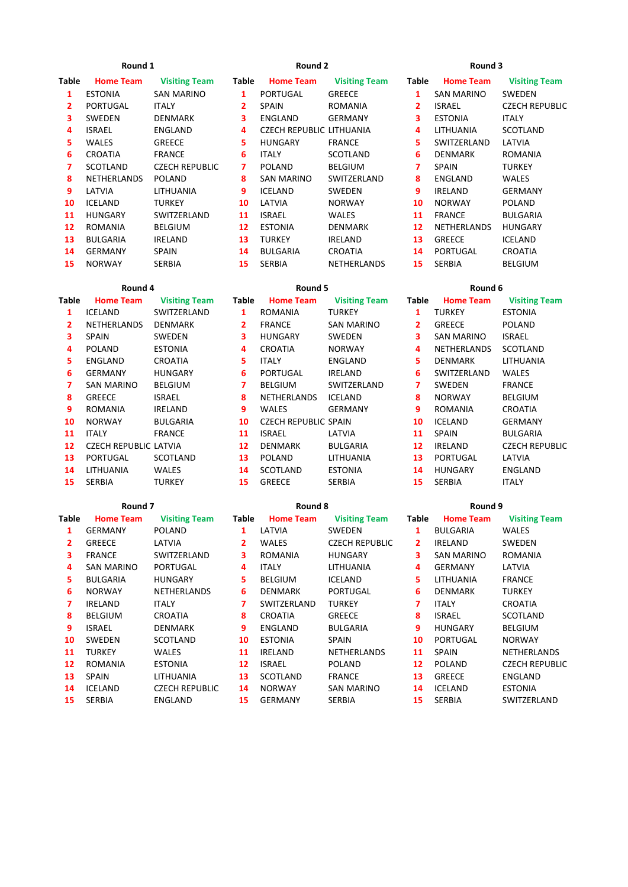## Round 1 **Round 2** Round 2 **Round 2** Round 3

| Table | <b>Home Team</b>   | <b>Visiting Team</b>  | <b>Table</b> | <b>Home Team</b>         | <b>Visiting Team</b> | Table | <b>Home Team</b> | <b>Visiting</b>  |
|-------|--------------------|-----------------------|--------------|--------------------------|----------------------|-------|------------------|------------------|
| 1     | <b>ESTONIA</b>     | <b>SAN MARINO</b>     | 1            | PORTUGAL                 | <b>GREECE</b>        | 1     | SAN MARINO       | SWEDEN           |
| 2     | PORTUGAL           | ITALY                 | 2            | <b>SPAIN</b>             | <b>ROMANIA</b>       | 2     | <b>ISRAEL</b>    | <b>CZECH REI</b> |
| 3     | <b>SWEDEN</b>      | <b>DENMARK</b>        | 3            | ENGLAND                  | <b>GERMANY</b>       | 3     | <b>ESTONIA</b>   | ITALY            |
| 4     | <b>ISRAEL</b>      | ENGLAND               | 4            | CZECH REPUBLIC LITHUANIA |                      | 4     | LITHUANIA        | <b>SCOTLANI</b>  |
| 5.    | <b>WALES</b>       | GREECE                | 5.           | <b>HUNGARY</b>           | <b>FRANCE</b>        | 5.    | SWITZERLAND      | LATVIA           |
| 6     | <b>CROATIA</b>     | <b>FRANCE</b>         | 6.           | ITALY                    | SCOTLAND             | 6.    | <b>DENMARK</b>   | ROMANIA          |
| 7     | <b>SCOTLAND</b>    | <b>CZECH REPUBLIC</b> | 7            | <b>POLAND</b>            | <b>BELGIUM</b>       | 7     | <b>SPAIN</b>     | <b>TURKEY</b>    |
| 8     | <b>NETHERLANDS</b> | <b>POLAND</b>         | 8            | <b>SAN MARINO</b>        | SWITZERLAND          | 8     | ENGLAND          | WALES            |
| 9     | LATVIA             | LITHUANIA             | 9            | <b>ICELAND</b>           | SWEDEN               | 9     | <b>IRELAND</b>   | GERMANY          |
| 10    | ICELAND            | TURKEY                | 10           | LATVIA                   | <b>NORWAY</b>        | 10    | <b>NORWAY</b>    | <b>POLAND</b>    |
| 11    | <b>HUNGARY</b>     | SWITZERLAND           | 11           | <b>ISRAEL</b>            | WALES                | 11    | <b>FRANCE</b>    | BULGARIA         |
| 12    | <b>ROMANIA</b>     | <b>BELGIUM</b>        | 12           | <b>ESTONIA</b>           | <b>DENMARK</b>       | 12    | NETHERLANDS      | <b>HUNGARY</b>   |
| 13    | <b>BULGARIA</b>    | IRELAND               | 13           | <b>TURKEY</b>            | IRELAND              | 13    | <b>GREECE</b>    | ICELAND          |
| 14    | <b>GERMANY</b>     | <b>SPAIN</b>          | 14           | <b>BULGARIA</b>          | CROATIA              | 14    | <b>PORTUGAL</b>  | CROATIA          |
| 15    | <b>NORWAY</b>      | <b>SERBIA</b>         | 15           | <b>SERBIA</b>            | NETHERLANDS          | 15    | <b>SERBIA</b>    | <b>BELGIUM</b>   |

## Round 4 Round 5 Round 5 Round 6

| <b>Table</b> | <b>Home Team</b>             | <b>Visiting Team</b> | <b>Table</b>   | <b>Home Team</b>            | <b>Visiting Team</b> | Table | <b>Home Team</b>  | <b>Visiting T</b> |
|--------------|------------------------------|----------------------|----------------|-----------------------------|----------------------|-------|-------------------|-------------------|
| 1            | <b>ICELAND</b>               | SWITZERLAND          | 1              | <b>ROMANIA</b>              | <b>TURKEY</b>        | 1     | <b>TURKEY</b>     | <b>ESTONIA</b>    |
| 2            | NETHERLANDS                  | <b>DENMARK</b>       | $\overline{2}$ | <b>FRANCE</b>               | <b>SAN MARINO</b>    | 2     | <b>GREECE</b>     | <b>POLAND</b>     |
| 3.           | <b>SPAIN</b>                 | SWEDEN               | 3              | <b>HUNGARY</b>              | <b>SWEDEN</b>        | 3     | <b>SAN MARINO</b> | <b>ISRAEL</b>     |
| 4            | <b>POLAND</b>                | <b>ESTONIA</b>       | 4              | <b>CROATIA</b>              | <b>NORWAY</b>        | 4     | NETHERLANDS       | <b>SCOTLAND</b>   |
| 5.           | ENGLAND                      | <b>CROATIA</b>       | 5.             | <b>ITALY</b>                | ENGLAND              | 5.    | <b>DENMARK</b>    | LITHUANIA         |
| 6            | <b>GERMANY</b>               | <b>HUNGARY</b>       | 6              | PORTUGAL                    | <b>IRELAND</b>       | 6     | SWITZERLAND       | <b>WALES</b>      |
|              | <b>SAN MARINO</b>            | <b>BELGIUM</b>       | 7              | <b>BELGIUM</b>              | SWITZERLAND          |       | <b>SWEDEN</b>     | <b>FRANCE</b>     |
| 8            | <b>GREECE</b>                | <b>ISRAEL</b>        | 8              | <b>NETHERLANDS</b>          | ICELAND              | 8     | <b>NORWAY</b>     | <b>BELGIUM</b>    |
| 9            | ROMANIA                      | IRELAND              | 9              | <b>WALES</b>                | <b>GERMANY</b>       | 9     | ROMANIA           | <b>CROATIA</b>    |
| 10           | <b>NORWAY</b>                | <b>BULGARIA</b>      | 10             | <b>CZECH REPUBLIC SPAIN</b> |                      | 10    | <b>ICELAND</b>    | <b>GERMANY</b>    |
| 11           | <b>ITALY</b>                 | <b>FRANCE</b>        | 11             | <b>ISRAEL</b>               | LATVIA               | 11    | <b>SPAIN</b>      | <b>BULGARIA</b>   |
| 12           | <b>CZECH REPUBLIC LATVIA</b> |                      | 12             | DENMARK                     | <b>BULGARIA</b>      | 12    | <b>IRELAND</b>    | <b>CZECH REP</b>  |
| 13           | PORTUGAL                     | <b>SCOTLAND</b>      | 13             | <b>POLAND</b>               | LITHUANIA            | 13    | PORTUGAL          | LATVIA            |
| 14           | LITHUANIA                    | <b>WALES</b>         | 14             | SCOTLAND                    | <b>ESTONIA</b>       | 14    | <b>HUNGARY</b>    | ENGLAND           |
| 15           | <b>SERBIA</b>                | <b>TURKEY</b>        | 15             | <b>GREECE</b>               | <b>SERBIA</b>        | 15    | <b>SERBIA</b>     | <b>ITALY</b>      |

| Round |  |
|-------|--|
|-------|--|

| ROUNG 8          |     |
|------------------|-----|
| <b>Home Team</b> |     |
| I ATVIA          | S١  |
| WAI FS           | C   |
| ROMANIA          | н   |
| ITALY            | ' 1 |
| BFI GIUM         | ıc  |
| DFNMARK          | P١  |
| SWITZERI AND     | тι  |
| CROATIA          | G   |
| FNGI AND         | RI  |
|                  |     |

|              | Round <sub>7</sub> |                      |              | Round 8          | Round 9               |                |                   |                   |
|--------------|--------------------|----------------------|--------------|------------------|-----------------------|----------------|-------------------|-------------------|
| <b>Table</b> | <b>Home Team</b>   | <b>Visiting Team</b> | <b>Table</b> | <b>Home Team</b> | <b>Visiting Team</b>  | <b>Table</b>   | <b>Home Team</b>  | <b>Visiting T</b> |
| 1            | GERMANY            | POLAND               | 1            | LATVIA           | SWEDEN                | 1              | <b>BULGARIA</b>   | <b>WALES</b>      |
| $\mathbf{2}$ | <b>GREECE</b>      | LATVIA               | 2            | <b>WALES</b>     | <b>CZECH REPUBLIC</b> | $\overline{2}$ | <b>IRELAND</b>    | SWEDEN            |
| 3            | <b>FRANCE</b>      | SWITZERLAND          | з            | <b>ROMANIA</b>   | <b>HUNGARY</b>        | 3              | <b>SAN MARINO</b> | <b>ROMANIA</b>    |
| 4            | <b>SAN MARINO</b>  | PORTUGAL             | 4            | <b>ITALY</b>     | LITHUANIA             | 4              | <b>GERMANY</b>    | LATVIA            |
| 5.           | <b>BULGARIA</b>    | <b>HUNGARY</b>       | 5            | <b>BELGIUM</b>   | <b>ICELAND</b>        | 5              | LITHUANIA         | <b>FRANCE</b>     |
| 6            | <b>NORWAY</b>      | NETHERLANDS          | 6            | <b>DENMARK</b>   | PORTUGAL              | 6              | <b>DENMARK</b>    | <b>TURKEY</b>     |
| 7            | IRELAND            | ITALY                | 7            | SWITZERLAND      | <b>TURKEY</b>         | 7              | <b>ITALY</b>      | CROATIA           |
| 8            | <b>BELGIUM</b>     | <b>CROATIA</b>       | 8            | <b>CROATIA</b>   | <b>GREECE</b>         | 8              | <b>ISRAEL</b>     | <b>SCOTLAND</b>   |
| 9            | <b>ISRAEL</b>      | DENMARK              | 9            | ENGLAND          | <b>BULGARIA</b>       | 9              | <b>HUNGARY</b>    | <b>BELGIUM</b>    |
| 10           | <b>SWEDEN</b>      | SCOTLAND             | 10           | <b>ESTONIA</b>   | <b>SPAIN</b>          | 10             | PORTUGAL          | <b>NORWAY</b>     |
| 11           | TURKEY             | <b>WALES</b>         | 11           | <b>IRELAND</b>   | NETHERLANDS           | 11             | <b>SPAIN</b>      | NETHERLA          |
| 12           | <b>ROMANIA</b>     | <b>ESTONIA</b>       | 12           | <b>ISRAEL</b>    | <b>POLAND</b>         | 12             | POLAND            | <b>CZECH REP</b>  |
| 13           | <b>SPAIN</b>       | LITHUANIA            | 13           | SCOTLAND         | <b>FRANCE</b>         | 13             | <b>GREECE</b>     | ENGLAND           |

| ıble | <b>Home Team</b> | <b>Visiting Team</b>  | <b>Table</b> | <b>Home Team</b>         | <b>Visiting Team</b> | <b>Table</b>   | <b>Home Team</b>   | <b>Visiting Team</b>  |
|------|------------------|-----------------------|--------------|--------------------------|----------------------|----------------|--------------------|-----------------------|
| 1    | <b>ESTONIA</b>   | <b>SAN MARINO</b>     | 1            | PORTUGAL                 | <b>GREECE</b>        | 1              | SAN MARINO         | <b>SWEDEN</b>         |
| 2    | <b>PORTUGAL</b>  | <b>ITALY</b>          | 2            | <b>SPAIN</b>             | <b>ROMANIA</b>       | $\overline{2}$ | <b>ISRAEL</b>      | <b>CZECH REPUBLIC</b> |
| 3    | <b>SWEDEN</b>    | <b>DENMARK</b>        | 3            | ENGLAND                  | <b>GERMANY</b>       | 3              | <b>ESTONIA</b>     | <b>ITALY</b>          |
| 4    | <b>ISRAEL</b>    | ENGLAND               | 4            | CZECH REPUBLIC LITHUANIA |                      | 4              | <b>LITHUANIA</b>   | SCOTLAND              |
| 5    | <b>WALES</b>     | <b>GREECE</b>         | 5            | <b>HUNGARY</b>           | <b>FRANCE</b>        | 5.             | SWITZERLAND        | LATVIA                |
| 6    | <b>CROATIA</b>   | <b>FRANCE</b>         | 6            | <b>ITALY</b>             | SCOTLAND             | 6              | <b>DENMARK</b>     | ROMANIA               |
| 7    | <b>SCOTLAND</b>  | <b>CZECH REPUBLIC</b> | 7            | <b>POLAND</b>            | <b>BELGIUM</b>       | 7              | <b>SPAIN</b>       | <b>TURKEY</b>         |
| 8    | NETHERLANDS      | POLAND                | 8            | <b>SAN MARINO</b>        | SWITZERLAND          | 8              | ENGLAND            | <b>WALES</b>          |
| 9    | LATVIA           | <b>LITHUANIA</b>      | 9            | <b>ICELAND</b>           | <b>SWEDEN</b>        | 9              | <b>IRELAND</b>     | <b>GERMANY</b>        |
| LO.  | <b>ICELAND</b>   | <b>TURKEY</b>         | 10           | LATVIA                   | <b>NORWAY</b>        | 10             | <b>NORWAY</b>      | <b>POLAND</b>         |
| 11   | <b>HUNGARY</b>   | SWITZERLAND           | 11           | <b>ISRAEL</b>            | <b>WALES</b>         | 11             | <b>FRANCE</b>      | <b>BULGARIA</b>       |
| L2.  | <b>ROMANIA</b>   | <b>BELGIUM</b>        | 12           | <b>ESTONIA</b>           | <b>DENMARK</b>       | 12             | <b>NETHERLANDS</b> | <b>HUNGARY</b>        |
| L3   | <b>BULGARIA</b>  | <b>IRELAND</b>        | 13           | <b>TURKEY</b>            | <b>IRELAND</b>       | 13             | <b>GREECE</b>      | <b>ICELAND</b>        |
| ι4   | <b>GERMANY</b>   | <b>SPAIN</b>          | 14           | <b>BULGARIA</b>          | <b>CROATIA</b>       | 14             | PORTUGAL           | <b>CROATIA</b>        |
| 15.  | <b>NORWAY</b>    | <b>SERBIA</b>         | 15           | <b>SERBIA</b>            | NETHERLANDS          | 15             | <b>SERBIA</b>      | <b>BELGIUM</b>        |

|              | able Home Team | <b>Visiting Team</b>  |
|--------------|----------------|-----------------------|
| $\mathbf{1}$ | TURKEY         | <b>ESTONIA</b>        |
| $\mathbf{2}$ | <b>GREECE</b>  | <b>POLAND</b>         |
| 3            | SAN MARINO     | <b>ISRAEL</b>         |
| 4            | NETHERLANDS    | <b>SCOTLAND</b>       |
| 5.           | DENMARK        | LITHUANIA             |
| 6            | SWITZERLAND    | WALES                 |
| 7            | SWEDEN         | <b>FRANCE</b>         |
| 8.           | NORWAY         | <b>BELGIUM</b>        |
| 9            | ROMANIA        | CROATIA               |
| 10           | ICELAND        | <b>GERMANY</b>        |
| 11           | <b>SPAIN</b>   | <b>BULGARIA</b>       |
| 12           | IRELAND        | <b>CZECH REPUBLIC</b> |
| 13           | PORTUGAL       | LATVIA                |
| 14           | HUNGARY        | ENGLAND               |
| 15           | SERBIA         | ITALY                 |

| abie         | nome ream         | visiting ream         | Table | nome ream      | visiting ream         | Table        | nome ream         | visiting ream         |
|--------------|-------------------|-----------------------|-------|----------------|-----------------------|--------------|-------------------|-----------------------|
| 1            | <b>GERMANY</b>    | <b>POLAND</b>         | 1     | LATVIA         | <b>SWEDEN</b>         | 1            | <b>BULGARIA</b>   | <b>WALES</b>          |
| $\mathbf{2}$ | <b>GREECE</b>     | LATVIA                | 2     | <b>WALES</b>   | <b>CZECH REPUBLIC</b> | $\mathbf{2}$ | <b>IRELAND</b>    | <b>SWEDEN</b>         |
| 3            | <b>FRANCE</b>     | SWITZERLAND           | 3     | <b>ROMANIA</b> | <b>HUNGARY</b>        | 3            | <b>SAN MARINO</b> | <b>ROMANIA</b>        |
| 4            | <b>SAN MARINO</b> | PORTUGAL              | 4     | <b>ITALY</b>   | LITHUANIA             | 4            | <b>GERMANY</b>    | LATVIA                |
| 5.           | <b>BULGARIA</b>   | <b>HUNGARY</b>        | 5.    | <b>BELGIUM</b> | <b>ICELAND</b>        | 5.           | LITHUANIA         | <b>FRANCE</b>         |
| 6            | <b>NORWAY</b>     | NETHERLANDS           | 6     | <b>DENMARK</b> | PORTUGAL              | 6            | <b>DENMARK</b>    | <b>TURKEY</b>         |
| 7            | <b>IRELAND</b>    | ITALY                 | 7     | SWITZERLAND    | <b>TURKEY</b>         | 7            | <b>ITALY</b>      | CROATIA               |
| 8            | <b>BELGIUM</b>    | <b>CROATIA</b>        | 8     | CROATIA        | <b>GREECE</b>         | 8            | <b>ISRAEL</b>     | SCOTLAND              |
| 9            | <b>ISRAEL</b>     | <b>DENMARK</b>        | 9     | ENGLAND        | <b>BULGARIA</b>       | 9            | <b>HUNGARY</b>    | <b>BELGIUM</b>        |
| 10           | <b>SWEDEN</b>     | SCOTLAND              | 10    | <b>ESTONIA</b> | <b>SPAIN</b>          | 10           | PORTUGAL          | <b>NORWAY</b>         |
| 11           | <b>TURKEY</b>     | <b>WALES</b>          | 11    | <b>IRELAND</b> | NETHERLANDS           | 11           | <b>SPAIN</b>      | <b>NETHERLANDS</b>    |
| 12           | <b>ROMANIA</b>    | <b>ESTONIA</b>        | 12    | <b>ISRAEL</b>  | <b>POLAND</b>         | 12           | POLAND            | <b>CZECH REPUBLIC</b> |
| 13           | <b>SPAIN</b>      | LITHUANIA             | 13    | SCOTLAND       | <b>FRANCE</b>         | 13           | <b>GREECE</b>     | ENGLAND               |
| 14           | <b>ICELAND</b>    | <b>CZECH REPUBLIC</b> | 14    | <b>NORWAY</b>  | <b>SAN MARINO</b>     | 14           | ICELAND           | <b>ESTONIA</b>        |
| 15           | <b>SERBIA</b>     | ENGLAND               | 15    | <b>GERMANY</b> | <b>SERBIA</b>         | 15           | <b>SERBIA</b>     | SWITZERLAND           |
|              |                   |                       |       |                |                       |              |                   |                       |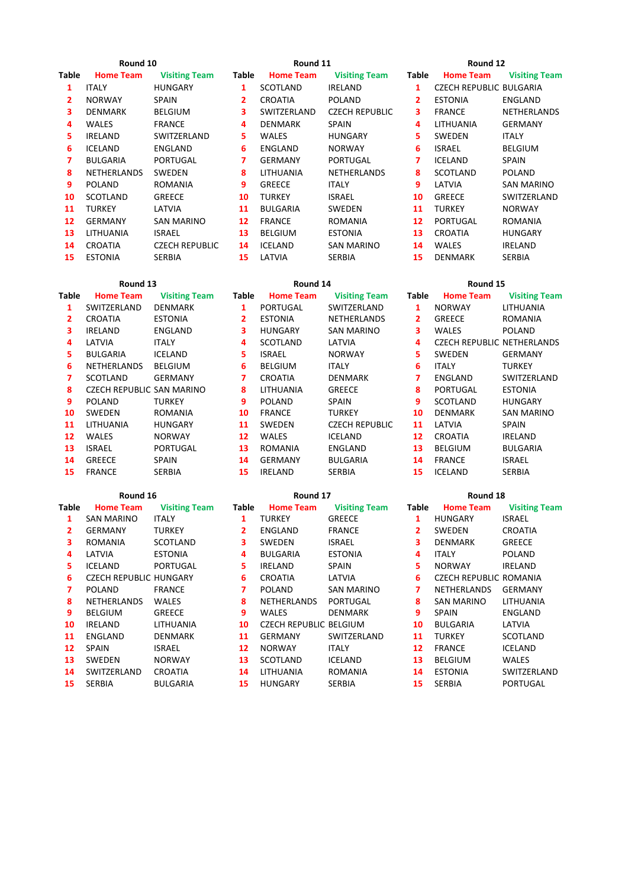| Round 10 | Round 11 | Round 12 |
|----------|----------|----------|
|          |          |          |

| Round 12 |  |  |
|----------|--|--|
|----------|--|--|

| able         | <b>Home Team</b>   | <b>Visiting Team</b>  | <b>Table</b> | <b>Home Team</b> | <b>Visiting Team</b>  | <b>Table</b>   | <b>Home Team</b>               | <b>Visiting Team</b> |
|--------------|--------------------|-----------------------|--------------|------------------|-----------------------|----------------|--------------------------------|----------------------|
| 1            | <b>ITALY</b>       | <b>HUNGARY</b>        | 1            | <b>SCOTLAND</b>  | <b>IRELAND</b>        | 1              | <b>CZECH REPUBLIC BULGARIA</b> |                      |
| $\mathbf{2}$ | <b>NORWAY</b>      | <b>SPAIN</b>          | $\mathbf{2}$ | <b>CROATIA</b>   | <b>POLAND</b>         | $\overline{2}$ | <b>ESTONIA</b>                 | ENGLAND              |
| 3.           | <b>DENMARK</b>     | <b>BELGIUM</b>        | 3.           | SWITZERLAND      | <b>CZECH REPUBLIC</b> | 3              | <b>FRANCE</b>                  | NETHERLANDS          |
| 4            | <b>WALES</b>       | <b>FRANCE</b>         | 4            | <b>DENMARK</b>   | <b>SPAIN</b>          | 4              | LITHUANIA                      | <b>GERMANY</b>       |
| 5.           | <b>IRELAND</b>     | SWITZERLAND           | 5.           | <b>WALES</b>     | <b>HUNGARY</b>        | 5.             | <b>SWEDEN</b>                  | <b>ITALY</b>         |
| 6            | <b>ICELAND</b>     | ENGLAND               | 6.           | ENGLAND          | <b>NORWAY</b>         | 6              | <b>ISRAEL</b>                  | <b>BELGIUM</b>       |
| 7            | <b>BULGARIA</b>    | PORTUGAL              | 7            | <b>GERMANY</b>   | PORTUGAL              | 7              | <b>ICELAND</b>                 | SPAIN                |
| 8            | <b>NETHERLANDS</b> | <b>SWEDEN</b>         | 8            | LITHUANIA        | NETHERLANDS           | 8              | SCOTLAND                       | <b>POLAND</b>        |
| 9            | POLAND             | <b>ROMANIA</b>        | 9            | <b>GREECE</b>    | <b>ITALY</b>          | 9              | LATVIA                         | SAN MARINO           |
| 10           | SCOTLAND           | <b>GREECE</b>         | 10           | <b>TURKEY</b>    | <b>ISRAEL</b>         | 10             | <b>GREECE</b>                  | SWITZERLAND          |
| 11           | <b>TURKEY</b>      | LATVIA                | 11           | <b>BULGARIA</b>  | <b>SWEDEN</b>         | 11             | <b>TURKEY</b>                  | <b>NORWAY</b>        |
| 12           | <b>GERMANY</b>     | SAN MARINO            | 12           | <b>FRANCE</b>    | ROMANIA               | 12             | <b>PORTUGAL</b>                | ROMANIA              |
| 13           | <b>LITHUANIA</b>   | <b>ISRAEL</b>         | 13           | <b>BELGIUM</b>   | <b>ESTONIA</b>        | 13             | <b>CROATIA</b>                 | <b>HUNGARY</b>       |
| 14           | <b>CROATIA</b>     | <b>CZECH REPUBLIC</b> | 14           | <b>ICELAND</b>   | <b>SAN MARINO</b>     | 14             | <b>WALES</b>                   | IRELAND              |
| 15           | <b>ESTONIA</b>     | <b>SERBIA</b>         | 15           | LATVIA           | <b>SERBIA</b>         | 15             | <b>DENMARK</b>                 | <b>SERBIA</b>        |

|       | Round 13                  |                      |       | Round 14         |                       | Round 15 |                                   |                      |  |
|-------|---------------------------|----------------------|-------|------------------|-----------------------|----------|-----------------------------------|----------------------|--|
| Table | <b>Home Team</b>          | <b>Visiting Team</b> | Table | <b>Home Team</b> | <b>Visiting Team</b>  | Table    | <b>Home Team</b>                  | <b>Visiting Team</b> |  |
| 1     | SWITZERLAND               | <b>DENMARK</b>       | 1     | PORTUGAL         | SWITZERLAND           | 1        | <b>NORWAY</b>                     | LITHUANIA            |  |
| 2     | CROATIA                   | <b>ESTONIA</b>       | 2     | <b>ESTONIA</b>   | <b>NETHERLANDS</b>    | 2        | <b>GREECE</b>                     | <b>ROMANIA</b>       |  |
| 3.    | <b>IRELAND</b>            | ENGLAND              | 3     | <b>HUNGARY</b>   | SAN MARINO            | 3        | <b>WALES</b>                      | <b>POLAND</b>        |  |
| 4     | LATVIA                    | <b>ITALY</b>         | 4     | SCOTLAND         | LATVIA                | 4        | <b>CZECH REPUBLIC NETHERLANDS</b> |                      |  |
| 5.    | <b>BULGARIA</b>           | <b>ICELAND</b>       | 5.    | <b>ISRAEL</b>    | <b>NORWAY</b>         | 5        | <b>SWEDEN</b>                     | <b>GERMANY</b>       |  |
| 6     | NETHERLANDS               | <b>BELGIUM</b>       | 6     | <b>BELGIUM</b>   | <b>ITALY</b>          | 6        | <b>ITALY</b>                      | <b>TURKEY</b>        |  |
| 7     | SCOTLAND                  | <b>GERMANY</b>       | 7     | <b>CROATIA</b>   | DENMARK               | 7        | ENGLAND                           | SWITZERLAND          |  |
| 8     | CZECH REPUBLIC SAN MARINO |                      | 8     | LITHUANIA        | <b>GREECE</b>         | 8        | PORTUGAL                          | <b>ESTONIA</b>       |  |
| 9     | <b>POLAND</b>             | <b>TURKEY</b>        | 9     | <b>POLAND</b>    | SPAIN                 | 9        | SCOTLAND                          | <b>HUNGARY</b>       |  |
| 10    | SWEDEN                    | ROMANIA              | 10    | <b>FRANCE</b>    | TURKEY                | 10       | <b>DENMARK</b>                    | SAN MARINO           |  |
| 11    | LITHUANIA                 | <b>HUNGARY</b>       | 11    | SWEDEN           | <b>CZECH REPUBLIC</b> | 11       | LATVIA                            | SPAIN                |  |
| 12    | <b>WALES</b>              | <b>NORWAY</b>        | 12    | <b>WALES</b>     | ICELAND               | 12       | <b>CROATIA</b>                    | IRELAND              |  |
| 13    | <b>ISRAEL</b>             | PORTUGAL             | 13    | <b>ROMANIA</b>   | ENGLAND               | 13       | <b>BELGIUM</b>                    | <b>BULGARIA</b>      |  |
| 14    | <b>GREECE</b>             | <b>SPAIN</b>         | 14    | <b>GERMANY</b>   | <b>BULGARIA</b>       | 14       | <b>FRANCE</b>                     | <b>ISRAEL</b>        |  |
| 15    | <b>FRANCE</b>             | <b>SERBIA</b>        | 15    | <b>IRELAND</b>   | <b>SERBIA</b>         | 15       | <b>ICELAND</b>                    | <b>SERBIA</b>        |  |

Round 16 **Round 17** Round 17 **Round 18** Round 18

| Table | <b>Home Team</b>       | <b>Visiting Team</b> | <b>Table</b> | <b>Home Team</b>       | <b>Visiting Team</b> | <b>Table</b> | <b>Home Team</b>       | <b>Visiting Team</b> |
|-------|------------------------|----------------------|--------------|------------------------|----------------------|--------------|------------------------|----------------------|
| 1     | SAN MARINO             | <b>ITALY</b>         | 1            | <b>TURKEY</b>          | GREECE               | 1            | <b>HUNGARY</b>         | <b>ISRAEL</b>        |
| 2     | <b>GERMANY</b>         | <b>TURKEY</b>        | 2            | ENGLAND                | <b>FRANCE</b>        | 2            | <b>SWEDEN</b>          | CROATIA              |
| 3     | <b>ROMANIA</b>         | SCOTLAND             | 3            | <b>SWEDEN</b>          | <b>ISRAEL</b>        | 3            | <b>DENMARK</b>         | <b>GREECE</b>        |
| 4     | LATVIA                 | <b>ESTONIA</b>       | 4            | <b>BULGARIA</b>        | <b>ESTONIA</b>       | 4            | <b>ITALY</b>           | <b>POLAND</b>        |
| 5.    | <b>ICELAND</b>         | PORTUGAL             | 5.           | <b>IRELAND</b>         | SPAIN                | 5            | <b>NORWAY</b>          | IRELAND              |
| 6     | CZECH REPUBLIC HUNGARY |                      | 6            | CROATIA                | LATVIA               | 6            | CZECH REPUBLIC ROMANIA |                      |
| 7     | POLAND                 | <b>FRANCE</b>        | 7            | POLAND                 | <b>SAN MARINO</b>    | 7            | <b>NETHERLANDS</b>     | GERMANY              |
| 8     | NETHERLANDS            | <b>WALES</b>         | 8            | <b>NETHERLANDS</b>     | <b>PORTUGAL</b>      | 8            | SAN MARINO             | LITHUANIA            |
| 9     | <b>BELGIUM</b>         | <b>GREECE</b>        | 9            | <b>WALES</b>           | <b>DENMARK</b>       | 9            | <b>SPAIN</b>           | <b>ENGLAND</b>       |
| 10    | IRELAND                | LITHUANIA            | 10           | CZECH REPUBLIC BELGIUM |                      | 10           | <b>BULGARIA</b>        | LATVIA               |
| 11    | ENGLAND                | <b>DENMARK</b>       | 11           | GERMANY                | SWITZERLAND          | 11           | <b>TURKEY</b>          | SCOTLAND             |
| 12    | <b>SPAIN</b>           | <b>ISRAEL</b>        | 12           | <b>NORWAY</b>          | <b>ITALY</b>         | 12           | <b>FRANCE</b>          | ICELAND              |
| 13    | <b>SWEDEN</b>          | <b>NORWAY</b>        | 13           | SCOTLAND               | ICELAND              | 13           | <b>BELGIUM</b>         | <b>WALES</b>         |
| 14    | SWITZERLAND            | CROATIA              | 14           | LITHUANIA              | ROMANIA              | 14           | <b>ESTONIA</b>         | SWITZERLAND          |
| 15    | <b>SERBIA</b>          | <b>BULGARIA</b>      | 15           | <b>HUNGARY</b>         | <b>SERBIA</b>        | 15           | <b>SERBIA</b>          | <b>PORTUGAL</b>      |
|       |                        |                      |              |                        |                      |              |                        |                      |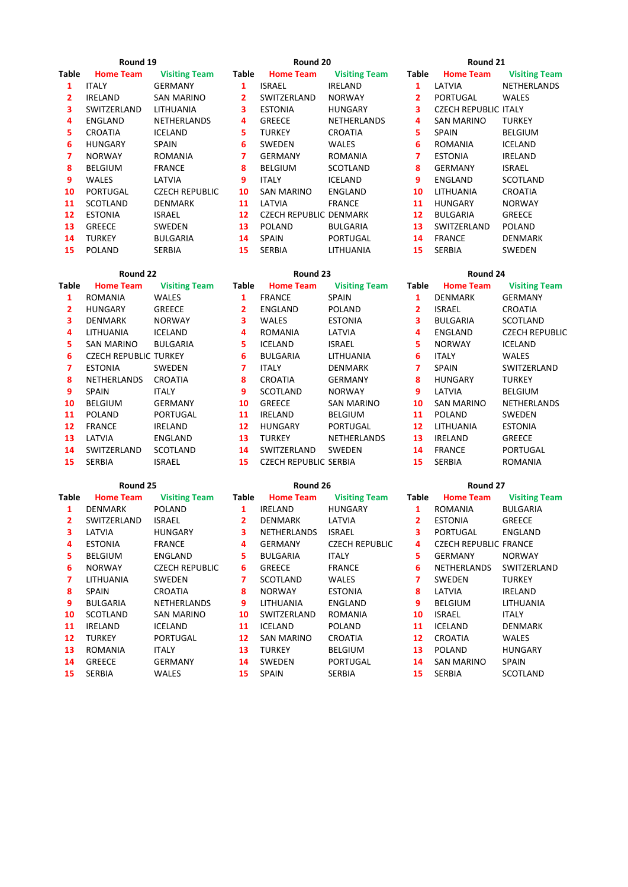| <b>Table</b> | <b>Home Team</b> | <b>Visiting Team</b>  | <b>Table</b> | <b>Home Team</b>              | <b>Visiting Team</b> | <b>Table</b> | <b>Home Team</b>            | <b>Visiting Team</b> |
|--------------|------------------|-----------------------|--------------|-------------------------------|----------------------|--------------|-----------------------------|----------------------|
| 1            | <b>ITALY</b>     | <b>GERMANY</b>        | 1            | <b>ISRAEL</b>                 | <b>IRELAND</b>       | 1            | LATVIA                      | NETHERLANDS          |
| 2            | <b>IRELAND</b>   | <b>SAN MARINO</b>     | 2            | SWITZERLAND                   | <b>NORWAY</b>        | 2            | <b>PORTUGAL</b>             | <b>WALES</b>         |
| 3            | SWITZERLAND      | LITHUANIA             | 3            | <b>ESTONIA</b>                | <b>HUNGARY</b>       | 3            | <b>CZECH REPUBLIC ITALY</b> |                      |
| 4            | ENGLAND          | NETHERLANDS           | 4            | <b>GREECE</b>                 | NETHERLANDS          | 4            | SAN MARINO                  | <b>TURKEY</b>        |
| 5.           | <b>CROATIA</b>   | <b>ICELAND</b>        | 5.           | <b>TURKEY</b>                 | <b>CROATIA</b>       | 5            | <b>SPAIN</b>                | <b>BELGIUM</b>       |
| 6            | <b>HUNGARY</b>   | <b>SPAIN</b>          | 6            | <b>SWEDEN</b>                 | <b>WALES</b>         | 6            | <b>ROMANIA</b>              | <b>ICELAND</b>       |
|              | <b>NORWAY</b>    | <b>ROMANIA</b>        | 7            | <b>GERMANY</b>                | ROMANIA              |              | <b>ESTONIA</b>              | IRELAND              |
| 8            | <b>BELGIUM</b>   | <b>FRANCE</b>         | 8            | <b>BELGIUM</b>                | SCOTLAND             | 8            | <b>GERMANY</b>              | <b>ISRAEL</b>        |
| 9            | <b>WALES</b>     | LATVIA                | 9            | <b>ITALY</b>                  | <b>ICELAND</b>       | 9            | ENGLAND                     | SCOTLAND             |
| 10           | <b>PORTUGAL</b>  | <b>CZECH REPUBLIC</b> | 10           | SAN MARINO                    | ENGLAND              | 10           | LITHUANIA                   | <b>CROATIA</b>       |
| 11           | <b>SCOTLAND</b>  | DENMARK               | 11           | LATVIA                        | <b>FRANCE</b>        | 11           | <b>HUNGARY</b>              | <b>NORWAY</b>        |
| 12           | <b>ESTONIA</b>   | <b>ISRAEL</b>         | 12           | <b>CZECH REPUBLIC DENMARK</b> |                      | 12           | <b>BULGARIA</b>             | <b>GREECE</b>        |
| 13           | <b>GREECE</b>    | <b>SWEDEN</b>         | 13           | POLAND                        | <b>BULGARIA</b>      | 13           | SWITZERLAND                 | <b>POLAND</b>        |
| 14           | <b>TURKEY</b>    | <b>BULGARIA</b>       | 14           | <b>SPAIN</b>                  | <b>PORTUGAL</b>      | 14           | <b>FRANCE</b>               | DENMARK              |
| 15           | <b>POLAND</b>    | <b>SERBIA</b>         | 15           | <b>SERBIA</b>                 | LITHUANIA            | 15           | <b>SERBIA</b>               | <b>SWEDEN</b>        |

| Round 22     |                              |                      | Round 23     |                      |                      | Round 24     |                  |                       |
|--------------|------------------------------|----------------------|--------------|----------------------|----------------------|--------------|------------------|-----------------------|
| <b>Table</b> | <b>Home Team</b>             | <b>Visiting Team</b> | <b>Table</b> | <b>Home Team</b>     | <b>Visiting Team</b> | <b>Table</b> | <b>Home Team</b> | <b>Visiting Team</b>  |
| 1            | ROMANIA                      | <b>WALES</b>         | 1            | <b>FRANCE</b>        | <b>SPAIN</b>         | 1            | <b>DENMARK</b>   | <b>GERMANY</b>        |
| 2            | <b>HUNGARY</b>               | <b>GREECE</b>        | 2            | ENGLAND              | <b>POLAND</b>        | 2            | <b>ISRAEL</b>    | <b>CROATIA</b>        |
| 3.           | <b>DENMARK</b>               | <b>NORWAY</b>        | 3.           | <b>WALES</b>         | <b>ESTONIA</b>       | 3            | <b>BULGARIA</b>  | SCOTLAND              |
| 4            | LITHUANIA                    | <b>ICELAND</b>       | 4            | <b>ROMANIA</b>       | LATVIA               | 4            | ENGLAND          | <b>CZECH REPUBLIC</b> |
| 5.           | <b>SAN MARINO</b>            | <b>BULGARIA</b>      | 5.           | <b>ICELAND</b>       | <b>ISRAEL</b>        | 5.           | <b>NORWAY</b>    | ICELAND               |
| 6            | <b>CZECH REPUBLIC TURKEY</b> |                      | 6            | <b>BULGARIA</b>      | LITHUANIA            | 6            | <b>ITALY</b>     | <b>WALES</b>          |
| 7            | <b>ESTONIA</b>               | SWEDEN               | 7            | <b>ITALY</b>         | DENMARK              | 7            | <b>SPAIN</b>     | SWITZERLAND           |
| 8            | NETHERLANDS                  | <b>CROATIA</b>       | 8            | <b>CROATIA</b>       | <b>GERMANY</b>       | 8            | <b>HUNGARY</b>   | <b>TURKEY</b>         |
| 9            | <b>SPAIN</b>                 | <b>ITALY</b>         | 9            | SCOTLAND             | <b>NORWAY</b>        | 9            | LATVIA           | <b>BELGIUM</b>        |
| 10           | <b>BELGIUM</b>               | <b>GERMANY</b>       | 10           | <b>GREECE</b>        | SAN MARINO           | 10           | SAN MARINO       | <b>NETHERLANDS</b>    |
| 11           | <b>POLAND</b>                | PORTUGAL             | 11           | <b>IRELAND</b>       | <b>BELGIUM</b>       | 11           | <b>POLAND</b>    | SWEDEN                |
| 12           | <b>FRANCE</b>                | <b>IRELAND</b>       | 12           | <b>HUNGARY</b>       | PORTUGAL             | 12           | LITHUANIA        | <b>ESTONIA</b>        |
| 13           | LATVIA                       | ENGLAND              | 13           | <b>TURKEY</b>        | NETHERLANDS          | 13           | IRELAND          | <b>GREECE</b>         |
| 14           | SWITZERLAND                  | SCOTLAND             | 14           | SWITZERLAND          | SWEDEN               | 14           | <b>FRANCE</b>    | PORTUGAL              |
|              | SERRIA                       | ISRAFI               | 15.          | CZECH REPURUC SERRIA |                      | 15.          | <b>SERRIA</b>    | ROMANIA               |

| ∸            | <b>JWILLLINLAIV</b> | <b>JUUTLAIV</b>       |       | <b>JWILLLINLAINL</b>         | <b>JVVLDLIV</b>       |              | 111011                       | r vn i vurl          |
|--------------|---------------------|-----------------------|-------|------------------------------|-----------------------|--------------|------------------------------|----------------------|
| 15           | <b>SERBIA</b>       | <b>ISRAEL</b>         | 15    | <b>CZECH REPUBLIC SERBIA</b> |                       | 15           | <b>SERBIA</b>                | <b>ROMANIA</b>       |
|              | Round 25            |                       |       | Round 26                     |                       |              | Round 27                     |                      |
| able         | <b>Home Team</b>    | <b>Visiting Team</b>  | Table | <b>Home Team</b>             | <b>Visiting Team</b>  | <b>Table</b> | <b>Home Team</b>             | <b>Visiting Tean</b> |
| 1            | <b>DENMARK</b>      | <b>POLAND</b>         | 1     | <b>IRELAND</b>               | <b>HUNGARY</b>        | 1            | <b>ROMANIA</b>               | <b>BULGARIA</b>      |
| $\mathbf{2}$ | SWITZERLAND         | <b>ISRAEL</b>         | 2     | DENMARK                      | LATVIA                | 2            | <b>ESTONIA</b>               | <b>GREECE</b>        |
| 3            | LATVIA              | <b>HUNGARY</b>        | 3.    | NETHERLANDS                  | <b>ISRAEL</b>         | 3            | PORTUGAL                     | ENGLAND              |
| 4            | <b>ESTONIA</b>      | <b>FRANCE</b>         | 4     | <b>GERMANY</b>               | <b>CZECH REPUBLIC</b> | 4            | <b>CZECH REPUBLIC FRANCE</b> |                      |
| 5.           | <b>BELGIUM</b>      | ENGLAND               | 5.    | <b>BULGARIA</b>              | <b>ITALY</b>          | 5            | <b>GERMANY</b>               | <b>NORWAY</b>        |
| 6            | <b>NORWAY</b>       | <b>CZECH REPUBLIC</b> | 6.    | <b>GREECE</b>                | <b>FRANCE</b>         | 6            | <b>NETHERLANDS</b>           | SWITZERLAND          |
| 7            | LITHUANIA           | SWEDEN                | 7     | SCOTLAND                     | WALES                 | 7            | <b>SWEDEN</b>                | <b>TURKEY</b>        |
| 8            | <b>SPAIN</b>        | <b>CROATIA</b>        | 8     | <b>NORWAY</b>                | <b>ESTONIA</b>        | 8            | LATVIA                       | <b>IRELAND</b>       |
| 9            | <b>BULGARIA</b>     | <b>NETHERLANDS</b>    | 9     | LITHUANIA                    | ENGLAND               | 9            | <b>BELGIUM</b>               | LITHUANIA            |
| 10           | SCOTLAND            | <b>SAN MARINO</b>     | 10    | SWITZERLAND                  | <b>ROMANIA</b>        | 10           | <b>ISRAEL</b>                | <b>ITALY</b>         |
| 11           | <b>IRELAND</b>      | <b>ICELAND</b>        | 11    | <b>ICELAND</b>               | <b>POLAND</b>         | 11           | <b>ICELAND</b>               | <b>DENMARK</b>       |
| 12           | <b>TURKEY</b>       | <b>PORTUGAL</b>       | 12    | <b>SAN MARINO</b>            | <b>CROATIA</b>        | 12           | <b>CROATIA</b>               | <b>WALES</b>         |
|              |                     |                       |       |                              |                       |              |                              |                      |

| 12             | <b>CZECH REPUBLIC DENMARK</b> |                      | 12             | <b>BULGARIA</b>  | <b>GREECE</b>         |
|----------------|-------------------------------|----------------------|----------------|------------------|-----------------------|
| 13             | <b>POLAND</b>                 | <b>BULGARIA</b>      | 13             | SWITZERLAND      | <b>POLAND</b>         |
| 14             | <b>SPAIN</b>                  | PORTUGAL             | 14             | <b>FRANCE</b>    | <b>DENMARK</b>        |
| 15             | <b>SERBIA</b>                 | LITHUANIA            | 15             | <b>SERBIA</b>    | <b>SWEDEN</b>         |
|                | Round 23                      |                      |                | Round 24         |                       |
| able           | <b>Home Team</b>              | <b>Visiting Team</b> | Table          | <b>Home Team</b> | <b>Visiting Team</b>  |
| 1              | <b>FRANCE</b>                 | <b>SPAIN</b>         | 1              | <b>DENMARK</b>   | <b>GERMANY</b>        |
| $\overline{2}$ | ENGLAND                       | <b>POLAND</b>        | $\overline{2}$ | <b>ISRAEL</b>    | <b>CROATIA</b>        |
| 3              | <b>WALES</b>                  | <b>ESTONIA</b>       | 3              | <b>BULGARIA</b>  | <b>SCOTLAND</b>       |
| 4              | <b>ROMANIA</b>                | LATVIA               | 4              | ENGLAND          | <b>CZECH REPUBLIC</b> |
| 5              | <b>ICELAND</b>                | <b>ISRAEL</b>        | 5              | <b>NORWAY</b>    | <b>ICELAND</b>        |
| 6              |                               |                      |                |                  |                       |

# 19 RETHERLAND CONTROLLAND SCOTLAND READ REAL SECTION AND REAL SECTION SECTION SECTION SECTION SECTION SECTION S<br>19 SCOTLAND READ REAL SECTION SECTION SECTION SECTION SECTION SECTION SECTION SECTION SECTION SECTION SECTION SCOTLAND NORWAY **9** LATVIA BELGIUM GREECE SAN MARINO **10** SAN MARINO NETHERLANDS 11 IRELAND BELGIUM 11 POLAND SWEDEN 12 HUNGARY PORTUGAL 12 LITHUANIA ESTONIA LATVIA ENGLAND **13** TURKEY NETHERLANDS **13** IRELAND GREECE 14 FRANCE PORTUGAL

**Table Home Team Visiting Team Table Home Team Visiting Team Table Home Team Visiting Team** ROMANIA ITALY **13** TURKEY BELGIUM **13** POLAND HUNGARY GREECE GERMANY **14** SWEDEN PORTUGAL **14** SAN MARINO SPAIN SERBIA WALES **15** SPAIN SERBIA **15** SERBIA SCOTLAND

### **Round 19 Round 20 Round 21**

|  |  | Round 2. |  |
|--|--|----------|--|
|--|--|----------|--|